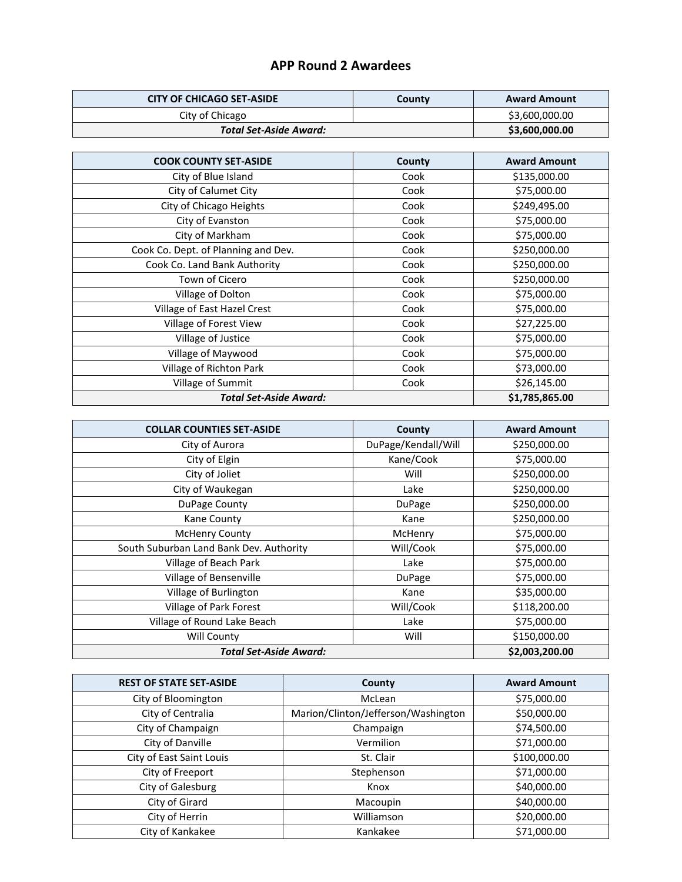## **APP Round 2 Awardees**

| <b>CITY OF CHICAGO SET-ASIDE</b> | County | <b>Award Amount</b> |
|----------------------------------|--------|---------------------|
| City of Chicago                  |        | \$3,600,000.00      |
| <b>Total Set-Aside Award:</b>    |        | \$3,600,000.00      |

| <b>COOK COUNTY SET-ASIDE</b>        | County | <b>Award Amount</b> |
|-------------------------------------|--------|---------------------|
| City of Blue Island                 | Cook   | \$135,000.00        |
| City of Calumet City                | Cook   | \$75,000.00         |
| City of Chicago Heights             | Cook   | \$249,495.00        |
| City of Evanston                    | Cook   | \$75,000.00         |
| City of Markham                     | Cook   | \$75,000.00         |
| Cook Co. Dept. of Planning and Dev. | Cook   | \$250,000.00        |
| Cook Co. Land Bank Authority        | Cook   | \$250,000.00        |
| Town of Cicero                      | Cook   | \$250,000.00        |
| Village of Dolton                   | Cook   | \$75,000.00         |
| Village of East Hazel Crest         | Cook   | \$75,000.00         |
| Village of Forest View              | Cook   | \$27,225.00         |
| Village of Justice                  | Cook   | \$75,000.00         |
| Village of Maywood                  | Cook   | \$75,000.00         |
| Village of Richton Park             | Cook   | \$73,000.00         |
| Village of Summit                   | Cook   | \$26,145.00         |
| <b>Total Set-Aside Award:</b>       |        | \$1,785,865.00      |

| <b>COLLAR COUNTIES SET-ASIDE</b>        | County              | <b>Award Amount</b> |
|-----------------------------------------|---------------------|---------------------|
| City of Aurora                          | DuPage/Kendall/Will | \$250,000.00        |
| City of Elgin                           | Kane/Cook           | \$75,000.00         |
| City of Joliet                          | Will                | \$250,000.00        |
| City of Waukegan                        | Lake                | \$250,000.00        |
| DuPage County                           | <b>DuPage</b>       | \$250,000.00        |
| Kane County                             | Kane                | \$250,000.00        |
| <b>McHenry County</b>                   | McHenry             | \$75,000.00         |
| South Suburban Land Bank Dev. Authority | Will/Cook           | \$75,000.00         |
| Village of Beach Park                   | Lake                | \$75,000.00         |
| Village of Bensenville                  | DuPage              | \$75,000.00         |
| Village of Burlington                   | Kane                | \$35,000.00         |
| Village of Park Forest                  | Will/Cook           | \$118,200.00        |
| Village of Round Lake Beach             | Lake                | \$75,000.00         |
| Will County                             | Will                | \$150,000.00        |
| <b>Total Set-Aside Award:</b>           |                     | \$2,003,200.00      |

| <b>REST OF STATE SET-ASIDE</b> | County                              | <b>Award Amount</b> |
|--------------------------------|-------------------------------------|---------------------|
| City of Bloomington            | McLean                              | \$75,000.00         |
| City of Centralia              | Marion/Clinton/Jefferson/Washington | \$50,000.00         |
| City of Champaign              | Champaign                           | \$74,500.00         |
| City of Danville               | Vermilion                           | \$71,000.00         |
| City of East Saint Louis       | St. Clair                           | \$100,000.00        |
| City of Freeport               | Stephenson                          | \$71,000.00         |
| City of Galesburg              | Knox                                | \$40,000.00         |
| City of Girard                 | Macoupin                            | \$40,000.00         |
| City of Herrin                 | Williamson                          | \$20,000.00         |
| City of Kankakee               | Kankakee                            | \$71,000.00         |